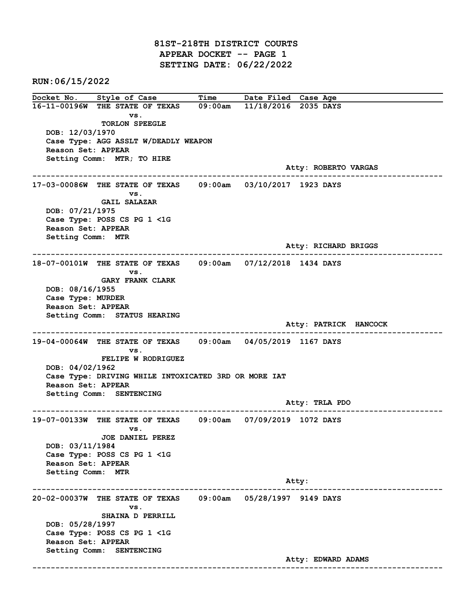81ST-218TH DISTRICT COURTS APPEAR DOCKET -- PAGE 1 SETTING DATE: 06/22/2022

RUN:06/15/2022

Docket No. Style of Case Time Date Filed Case Age 16-11-00196W THE STATE OF TEXAS 09:00am 11/18/2016 2035 DAYS vs. TORLON SPEEGLE DOB: 12/03/1970 Case Type: AGG ASSLT W/DEADLY WEAPON Reason Set: APPEAR Setting Comm: MTR; TO HIRE Atty: ROBERTO VARGAS ------------------------------------------------------------------------------------------------------------------------ 17-03-00086W THE STATE OF TEXAS 09:00am 03/10/2017 1923 DAYS vs. GAIL SALAZAR DOB: 07/21/1975 Case Type: POSS CS PG 1 <1G Reason Set: APPEAR Setting Comm: MTR Atty: RICHARD BRIGGS ------------------------------------------------------------------------------------------------------------------------ 18-07-00101W THE STATE OF TEXAS 09:00am 07/12/2018 1434 DAYS vs. GARY FRANK CLARK DOB: 08/16/1955 Case Type: MURDER Reason Set: APPEAR Setting Comm: STATUS HEARING Atty: PATRICK HANCOCK ------------------------------------------------------------------------------------------------------------------------ 19-04-00064W THE STATE OF TEXAS 09:00am 04/05/2019 1167 DAYS vs. FELIPE W RODRIGUEZ DOB: 04/02/1962 Case Type: DRIVING WHILE INTOXICATED 3RD OR MORE IAT Reason Set: APPEAR Setting Comm: SENTENCING Atty: TRLA PDO ------------------------------------------------------------------------------------------------------------------------ 19-07-00133W THE STATE OF TEXAS 09:00am 07/09/2019 1072 DAYS vs. JOE DANIEL PEREZ DOB: 03/11/1984 Case Type: POSS CS PG 1 <1G Reason Set: APPEAR Setting Comm: MTR example of the contract of the contract of the contract of the contract of the contract of the contract of the contract of the contract of the contract of the contract of the contract of the contract of the contract of the ------------------------------------------------------------------------------------------------------------------------ 20-02-00037W THE STATE OF TEXAS 09:00am 05/28/1997 9149 DAYS vs. SHAINA D PERRILL DOB: 05/28/1997 Case Type: POSS CS PG 1 <1G Reason Set: APPEAR Setting Comm: SENTENCING Atty: EDWARD ADAMS ------------------------------------------------------------------------------------------------------------------------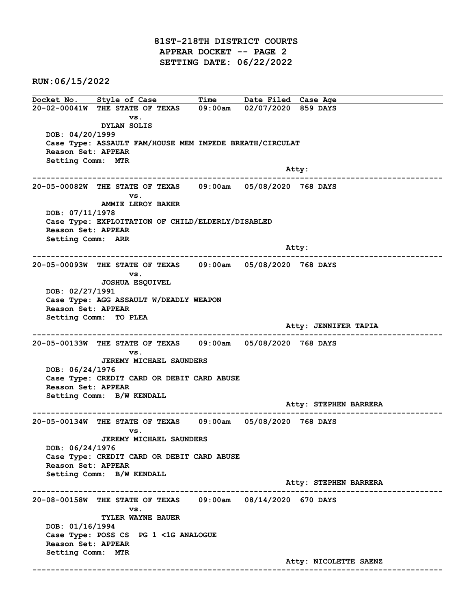81ST-218TH DISTRICT COURTS APPEAR DOCKET -- PAGE 2 SETTING DATE: 06/22/2022

RUN:06/15/2022

Docket No. Style of Case Time Date Filed Case Age 20-02-00041W THE STATE OF TEXAS 09:00am 02/07/2020 859 DAYS vs. DYLAN SOLIS DOB: 04/20/1999 Case Type: ASSAULT FAM/HOUSE MEM IMPEDE BREATH/CIRCULAT Reason Set: APPEAR Setting Comm: MTR and the control of the control of the control of the control of the control of the control of the control of the control of the control of the control of the control of the control of the control of the control of the cont ------------------------------------------------------------------------------------------------------------------------ 20-05-00082W THE STATE OF TEXAS 09:00am 05/08/2020 768 DAYS vs. AMMIE LEROY BAKER DOB: 07/11/1978 Case Type: EXPLOITATION OF CHILD/ELDERLY/DISABLED Reason Set: APPEAR Setting Comm: ARR and the control of the control of the control of the control of the control of the control of the control of the control of the control of the control of the control of the control of the control of the control of the cont ------------------------------------------------------------------------------------------------------------------------ 20-05-00093W THE STATE OF TEXAS 09:00am 05/08/2020 768 DAYS vs. JOSHUA ESQUIVEL DOB: 02/27/1991 Case Type: AGG ASSAULT W/DEADLY WEAPON Reason Set: APPEAR Setting Comm: TO PLEA Atty: JENNIFER TAPIA ------------------------------------------------------------------------------------------------------------------------ 20-05-00133W THE STATE OF TEXAS 09:00am 05/08/2020 768 DAYS vs. JEREMY MICHAEL SAUNDERS DOB: 06/24/1976 Case Type: CREDIT CARD OR DEBIT CARD ABUSE Reason Set: APPEAR Setting Comm: B/W KENDALL Atty: STEPHEN BARRERA ------------------------------------------------------------------------------------------------------------------------ 20-05-00134W THE STATE OF TEXAS 09:00am 05/08/2020 768 DAYS vs. JEREMY MICHAEL SAUNDERS DOB: 06/24/1976 Case Type: CREDIT CARD OR DEBIT CARD ABUSE Reason Set: APPEAR Setting Comm: B/W KENDALL Atty: STEPHEN BARRERA ------------------------------------------------------------------------------------------------------------------------ 20-08-00158W THE STATE OF TEXAS 09:00am 08/14/2020 670 DAYS vs. TYLER WAYNE BAUER DOB: 01/16/1994 Case Type: POSS CS PG 1 <1G ANALOGUE Reason Set: APPEAR Setting Comm: MTR Atty: NICOLETTE SAENZ ------------------------------------------------------------------------------------------------------------------------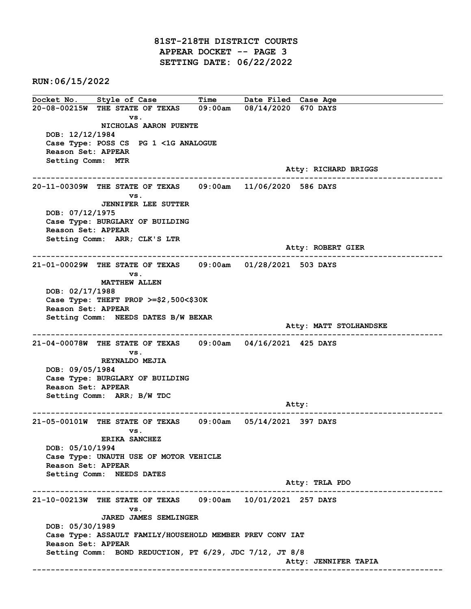81ST-218TH DISTRICT COURTS APPEAR DOCKET -- PAGE 3 SETTING DATE: 06/22/2022

RUN:06/15/2022

Docket No. Style of Case Time Date Filed Case Age 20-08-00215W THE STATE OF TEXAS 09:00am 08/14/2020 670 DAYS vs. NICHOLAS AARON PUENTE DOB: 12/12/1984 Case Type: POSS CS PG 1 <1G ANALOGUE Reason Set: APPEAR Setting Comm: MTR Atty: RICHARD BRIGGS ------------------------------------------------------------------------------------------------------------------------ 20-11-00309W THE STATE OF TEXAS 09:00am 11/06/2020 586 DAYS vs. JENNIFER LEE SUTTER DOB: 07/12/1975 Case Type: BURGLARY OF BUILDING Reason Set: APPEAR Setting Comm: ARR; CLK'S LTR Atty: ROBERT GIER ------------------------------------------------------------------------------------------------------------------------ 21-01-00029W THE STATE OF TEXAS 09:00am 01/28/2021 503 DAYS vs. MATTHEW ALLEN DOB: 02/17/1988 Case Type: THEFT PROP >=\$2,500<\$30K Reason Set: APPEAR Setting Comm: NEEDS DATES B/W BEXAR Atty: MATT STOLHANDSKE ------------------------------------------------------------------------------------------------------------------------ 21-04-00078W THE STATE OF TEXAS 09:00am 04/16/2021 425 DAYS vs. REYNALDO MEJIA DOB: 09/05/1984 Case Type: BURGLARY OF BUILDING Reason Set: APPEAR Setting Comm: ARR; B/W TDC example of the contract of the contract of the contract of the contract of the contract of the contract of the contract of the contract of the contract of the contract of the contract of the contract of the contract of the ------------------------------------------------------------------------------------------------------------------------ 21-05-00101W THE STATE OF TEXAS 09:00am 05/14/2021 397 DAYS vs. ERIKA SANCHEZ DOB: 05/10/1994 Case Type: UNAUTH USE OF MOTOR VEHICLE Reason Set: APPEAR Setting Comm: NEEDS DATES Atty: TRLA PDO ------------------------------------------------------------------------------------------------------------------------ 21-10-00213W THE STATE OF TEXAS 09:00am 10/01/2021 257 DAYS vs. JARED JAMES SEMLINGER DOB: 05/30/1989 Case Type: ASSAULT FAMILY/HOUSEHOLD MEMBER PREV CONV IAT Reason Set: APPEAR Setting Comm: BOND REDUCTION, PT 6/29, JDC 7/12, JT 8/8 Atty: JENNIFER TAPIA ------------------------------------------------------------------------------------------------------------------------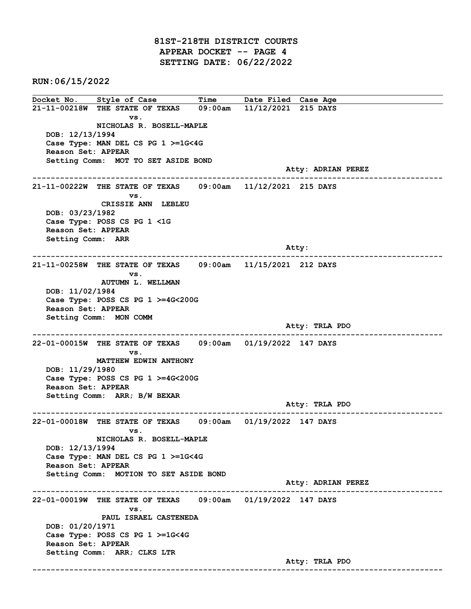81ST-218TH DISTRICT COURTS APPEAR DOCKET -- PAGE 4 SETTING DATE: 06/22/2022

RUN:06/15/2022

Docket No. Style of Case Time Date Filed Case Age 21-11-00218W THE STATE OF TEXAS 09:00am 11/12/2021 215 DAYS vs. NICHOLAS R. BOSELL-MAPLE DOB: 12/13/1994 Case Type: MAN DEL CS PG 1 >=1G<4G Reason Set: APPEAR Setting Comm: MOT TO SET ASIDE BOND Atty: ADRIAN PEREZ ------------------------------------------------------------------------------------------------------------------------ 21-11-00222W THE STATE OF TEXAS 09:00am 11/12/2021 215 DAYS vs. CRISSIE ANN LEBLEU DOB: 03/23/1982 Case Type: POSS CS PG 1 <1G Reason Set: APPEAR Setting Comm: ARR and the control of the control of the control of the control of the control of the control of the control of the control of the control of the control of the control of the control of the control of the control of the cont ------------------------------------------------------------------------------------------------------------------------ 21-11-00258W THE STATE OF TEXAS 09:00am 11/15/2021 212 DAYS vs. AUTUMN L. WELLMAN DOB: 11/02/1984 Case Type: POSS CS PG 1 >=4G<200G Reason Set: APPEAR Setting Comm: MON COMM Atty: TRLA PDO ------------------------------------------------------------------------------------------------------------------------ 22-01-00015W THE STATE OF TEXAS 09:00am 01/19/2022 147 DAYS vs. MATTHEW EDWIN ANTHONY DOB: 11/29/1980 Case Type: POSS CS PG 1 >=4G<200G Reason Set: APPEAR Setting Comm: ARR; B/W BEXAR Atty: TRLA PDO ------------------------------------------------------------------------------------------------------------------------ 22-01-00018W THE STATE OF TEXAS 09:00am 01/19/2022 147 DAYS vs. NICHOLAS R. BOSELL-MAPLE DOB: 12/13/1994 Case Type: MAN DEL CS PG 1 >=1G<4G Reason Set: APPEAR Setting Comm: MOTION TO SET ASIDE BOND Atty: ADRIAN PEREZ ------------------------------------------------------------------------------------------------------------------------ 22-01-00019W THE STATE OF TEXAS 09:00am 01/19/2022 147 DAYS vs. PAUL ISRAEL CASTENEDA DOB: 01/20/1971 Case Type: POSS CS PG 1 >=1G<4G Reason Set: APPEAR Setting Comm: ARR; CLKS LTR Atty: TRLA PDO ------------------------------------------------------------------------------------------------------------------------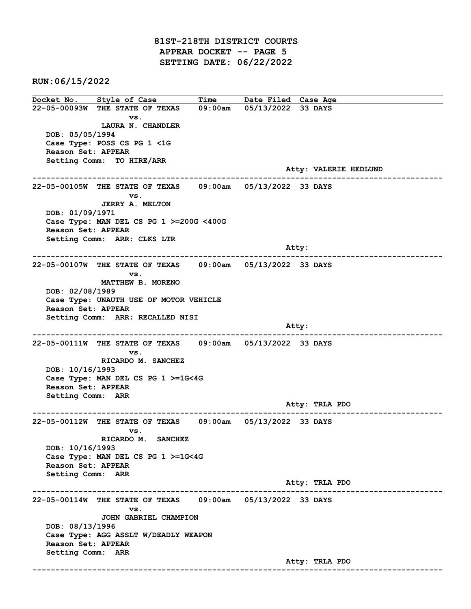81ST-218TH DISTRICT COURTS APPEAR DOCKET -- PAGE 5 SETTING DATE: 06/22/2022

RUN:06/15/2022

Docket No. Style of Case Time Date Filed Case Age 22-05-00093W THE STATE OF TEXAS 09:00am 05/13/2022 33 DAYS vs. LAURA N. CHANDLER DOB: 05/05/1994 Case Type: POSS CS PG 1 <1G Reason Set: APPEAR Setting Comm: TO HIRE/ARR Atty: VALERIE HEDLUND ------------------------------------------------------------------------------------------------------------------------ 22-05-00105W THE STATE OF TEXAS 09:00am 05/13/2022 33 DAYS vs. JERRY A. MELTON DOB: 01/09/1971 Case Type: MAN DEL CS PG 1 >=200G <400G Reason Set: APPEAR Setting Comm: ARR; CLKS LTR and the control of the control of the control of the control of the control of the control of the control of the control of the control of the control of the control of the control of the control of the control of the cont ------------------------------------------------------------------------------------------------------------------------ 22-05-00107W THE STATE OF TEXAS 09:00am 05/13/2022 33 DAYS vs. MATTHEW B. MORENO DOB: 02/08/1989 Case Type: UNAUTH USE OF MOTOR VEHICLE Reason Set: APPEAR Setting Comm: ARR; RECALLED NISI and the control of the control of the control of the control of the control of the control of the control of the control of the control of the control of the control of the control of the control of the control of the cont ------------------------------------------------------------------------------------------------------------------------ 22-05-00111W THE STATE OF TEXAS 09:00am 05/13/2022 33 DAYS vs. RICARDO M. SANCHEZ DOB: 10/16/1993 Case Type: MAN DEL CS PG 1 >=1G<4G Reason Set: APPEAR Setting Comm: ARR Atty: TRLA PDO ------------------------------------------------------------------------------------------------------------------------ 22-05-00112W THE STATE OF TEXAS 09:00am 05/13/2022 33 DAYS vs. RICARDO M. SANCHEZ DOB: 10/16/1993 Case Type: MAN DEL CS PG 1 >=1G<4G Reason Set: APPEAR Setting Comm: ARR Atty: TRLA PDO ------------------------------------------------------------------------------------------------------------------------ 22-05-00114W THE STATE OF TEXAS 09:00am 05/13/2022 33 DAYS vs. JOHN GABRIEL CHAMPION DOB: 08/13/1996 Case Type: AGG ASSLT W/DEADLY WEAPON Reason Set: APPEAR Setting Comm: ARR Atty: TRLA PDO ------------------------------------------------------------------------------------------------------------------------